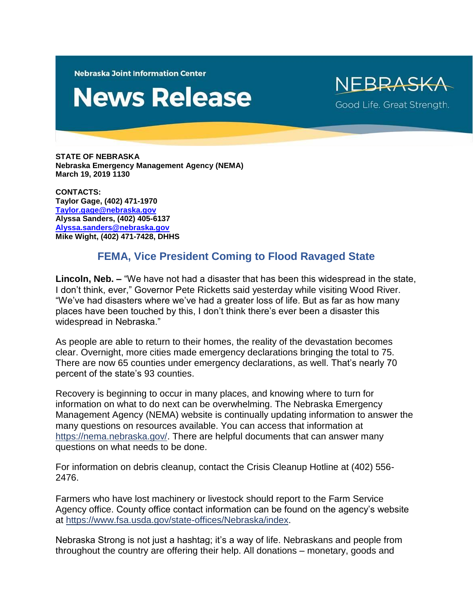**Nebraska Joint Information Center** 

## **News Release**

NFRRASK Good Life. Great Strength.

**STATE OF NEBRASKA Nebraska Emergency Management Agency (NEMA) March 19, 2019 1130**

**CONTACTS: Taylor Gage, (402) 471-1970 [Taylor.gage@nebraska.gov](mailto:Taylor.gage@nebraska.gov) Alyssa Sanders, (402) 405-6137 [Alyssa.sanders@nebraska.gov](mailto:Alyssa.sanders@nebraska.gov) Mike Wight, (402) 471-7428, DHHS**

## **FEMA, Vice President Coming to Flood Ravaged State**

**Lincoln, Neb. –** "We have not had a disaster that has been this widespread in the state, I don't think, ever," Governor Pete Ricketts said yesterday while visiting Wood River. "We've had disasters where we've had a greater loss of life. But as far as how many places have been touched by this, I don't think there's ever been a disaster this widespread in Nebraska."

As people are able to return to their homes, the reality of the devastation becomes clear. Overnight, more cities made emergency declarations bringing the total to 75. There are now 65 counties under emergency declarations, as well. That's nearly 70 percent of the state's 93 counties.

Recovery is beginning to occur in many places, and knowing where to turn for information on what to do next can be overwhelming. The Nebraska Emergency Management Agency (NEMA) website is continually updating information to answer the many questions on resources available. You can access that information at [https://nema.nebraska.gov/.](https://nema.nebraska.gov/) There are helpful documents that can answer many questions on what needs to be done.

For information on debris cleanup, contact the Crisis Cleanup Hotline at (402) 556- 2476.

Farmers who have lost machinery or livestock should report to the Farm Service Agency office. County office contact information can be found on the agency's website at [https://www.fsa.usda.gov/state-offices/Nebraska/index.](https://www.fsa.usda.gov/state-offices/Nebraska/index)

Nebraska Strong is not just a hashtag; it's a way of life. Nebraskans and people from throughout the country are offering their help. All donations – monetary, goods and